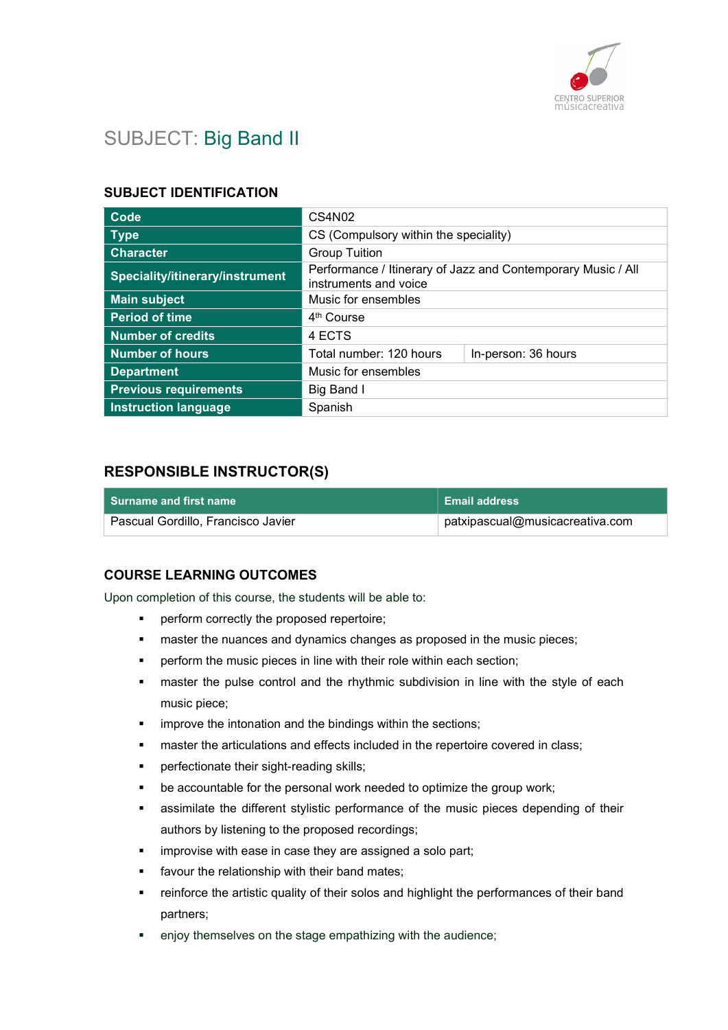

## SUBJECT: Big Band II

#### SUBJECT IDENTIFICATION

| Code                            | CS4N02                                                                                |                     |
|---------------------------------|---------------------------------------------------------------------------------------|---------------------|
| Type                            | CS (Compulsory within the speciality)                                                 |                     |
| <b>Character</b>                | <b>Group Tuition</b>                                                                  |                     |
| Speciality/itinerary/instrument | Performance / Itinerary of Jazz and Contemporary Music / All<br>instruments and voice |                     |
| <b>Main subject</b>             | Music for ensembles                                                                   |                     |
| <b>Period of time</b>           | 4 <sup>th</sup> Course                                                                |                     |
| <b>Number of credits</b>        | 4 ECTS                                                                                |                     |
| <b>Number of hours</b>          | Total number: 120 hours                                                               | In-person: 36 hours |
| <b>Department</b>               | Music for ensembles                                                                   |                     |
| <b>Previous requirements</b>    | Big Band I                                                                            |                     |
| <b>Instruction language</b>     | Spanish                                                                               |                     |

#### RESPONSIBLE INSTRUCTOR(S)

| │ Surname and first name ∶         | <b>Email address</b>                              |
|------------------------------------|---------------------------------------------------|
| Pascual Gordillo, Francisco Javier | $^\shortparallel$ patxipascual@musicacreativa.com |

#### COURSE LEARNING OUTCOMES

Upon completion of this course, the students will be able to:

- perform correctly the proposed repertoire;
- **EXED** master the nuances and dynamics changes as proposed in the music pieces;
- perform the music pieces in line with their role within each section;
- master the pulse control and the rhythmic subdivision in line with the style of each music piece;
- **EXEDENT** improve the intonation and the bindings within the sections;
- master the articulations and effects included in the repertoire covered in class;
- perfectionate their sight-reading skills;
- be accountable for the personal work needed to optimize the group work;
- assimilate the different stylistic performance of the music pieces depending of their authors by listening to the proposed recordings;
- improvise with ease in case they are assigned a solo part;
- favour the relationship with their band mates;
- reinforce the artistic quality of their solos and highlight the performances of their band partners;
- enjoy themselves on the stage empathizing with the audience;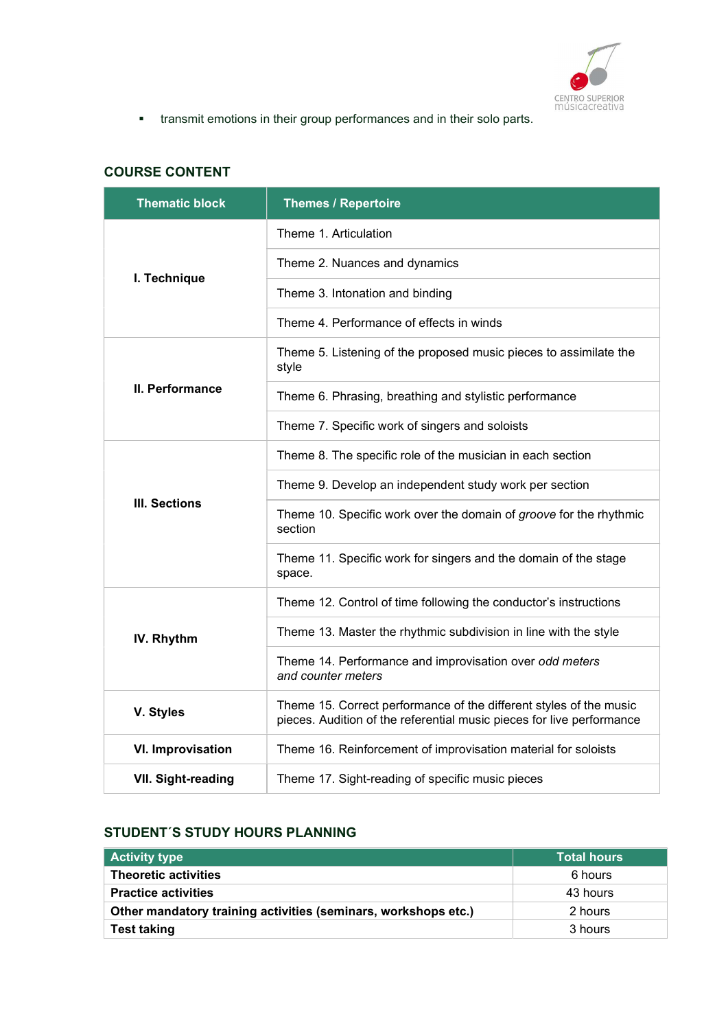

transmit emotions in their group performances and in their solo parts.

## COURSE CONTENT

| <b>Thematic block</b>     | <b>Themes / Repertoire</b>                                                                                                                  |
|---------------------------|---------------------------------------------------------------------------------------------------------------------------------------------|
|                           | Theme 1. Articulation                                                                                                                       |
| I. Technique              | Theme 2. Nuances and dynamics                                                                                                               |
|                           | Theme 3. Intonation and binding                                                                                                             |
|                           | Theme 4. Performance of effects in winds                                                                                                    |
|                           | Theme 5. Listening of the proposed music pieces to assimilate the<br>style                                                                  |
| II. Performance           | Theme 6. Phrasing, breathing and stylistic performance                                                                                      |
|                           | Theme 7. Specific work of singers and soloists                                                                                              |
|                           | Theme 8. The specific role of the musician in each section                                                                                  |
|                           | Theme 9. Develop an independent study work per section                                                                                      |
| <b>III. Sections</b>      | Theme 10. Specific work over the domain of groove for the rhythmic<br>section                                                               |
|                           | Theme 11. Specific work for singers and the domain of the stage<br>space.                                                                   |
|                           | Theme 12. Control of time following the conductor's instructions                                                                            |
| IV. Rhythm                | Theme 13. Master the rhythmic subdivision in line with the style                                                                            |
|                           | Theme 14. Performance and improvisation over odd meters<br>and counter meters                                                               |
| V. Styles                 | Theme 15. Correct performance of the different styles of the music<br>pieces. Audition of the referential music pieces for live performance |
| <b>VI. Improvisation</b>  | Theme 16. Reinforcement of improvisation material for soloists                                                                              |
| <b>VII. Sight-reading</b> | Theme 17. Sight-reading of specific music pieces                                                                                            |

#### STUDENT´S STUDY HOURS PLANNING

| <b>Activity type</b>                                           | <b>Total hours</b> |
|----------------------------------------------------------------|--------------------|
| <b>Theoretic activities</b>                                    | 6 hours            |
| <b>Practice activities</b>                                     | 43 hours           |
| Other mandatory training activities (seminars, workshops etc.) | 2 hours            |
| <b>Test taking</b>                                             | 3 hours            |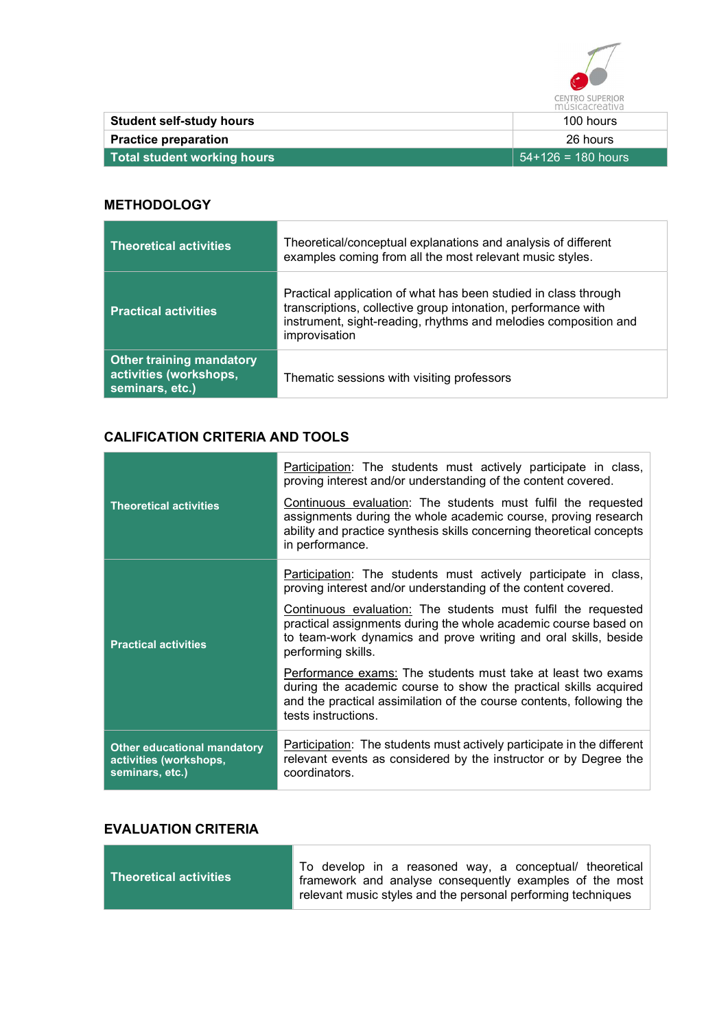

| ---------------                 |                      |
|---------------------------------|----------------------|
| <b>Student self-study hours</b> | 100 hours            |
| <b>Practice preparation</b>     | 26 hours             |
| Total student working hours     | $54+126 = 180$ hours |

#### **METHODOLOGY**

| <b>Theoretical activities</b>                                                | Theoretical/conceptual explanations and analysis of different<br>examples coming from all the most relevant music styles.                                                                                            |
|------------------------------------------------------------------------------|----------------------------------------------------------------------------------------------------------------------------------------------------------------------------------------------------------------------|
| <b>Practical activities</b>                                                  | Practical application of what has been studied in class through<br>transcriptions, collective group intonation, performance with<br>instrument, sight-reading, rhythms and melodies composition and<br>improvisation |
| <b>Other training mandatory</b><br>activities (workshops,<br>seminars, etc.) | Thematic sessions with visiting professors                                                                                                                                                                           |

## CALIFICATION CRITERIA AND TOOLS

| <b>Theoretical activities</b>                                                   | <u>Participation</u> : The students must actively participate in class,<br>proving interest and/or understanding of the content covered.<br>Continuous evaluation: The students must fulfil the requested<br>assignments during the whole academic course, proving research<br>ability and practice synthesis skills concerning theoretical concepts<br>in performance. |
|---------------------------------------------------------------------------------|-------------------------------------------------------------------------------------------------------------------------------------------------------------------------------------------------------------------------------------------------------------------------------------------------------------------------------------------------------------------------|
|                                                                                 | Participation: The students must actively participate in class,<br>proving interest and/or understanding of the content covered.                                                                                                                                                                                                                                        |
| <b>Practical activities</b>                                                     | Continuous evaluation: The students must fulfil the requested<br>practical assignments during the whole academic course based on<br>to team-work dynamics and prove writing and oral skills, beside<br>performing skills.                                                                                                                                               |
|                                                                                 | Performance exams: The students must take at least two exams<br>during the academic course to show the practical skills acquired<br>and the practical assimilation of the course contents, following the<br>tests instructions.                                                                                                                                         |
| <b>Other educational mandatory</b><br>activities (workshops,<br>seminars, etc.) | Participation: The students must actively participate in the different<br>relevant events as considered by the instructor or by Degree the<br>coordinators.                                                                                                                                                                                                             |

#### EVALUATION CRITERIA

| <b>Theoretical activities</b> | To develop in a reasoned way, a conceptual/ theoretical<br>framework and analyse consequently examples of the most |
|-------------------------------|--------------------------------------------------------------------------------------------------------------------|
|                               | relevant music styles and the personal performing techniques                                                       |

٦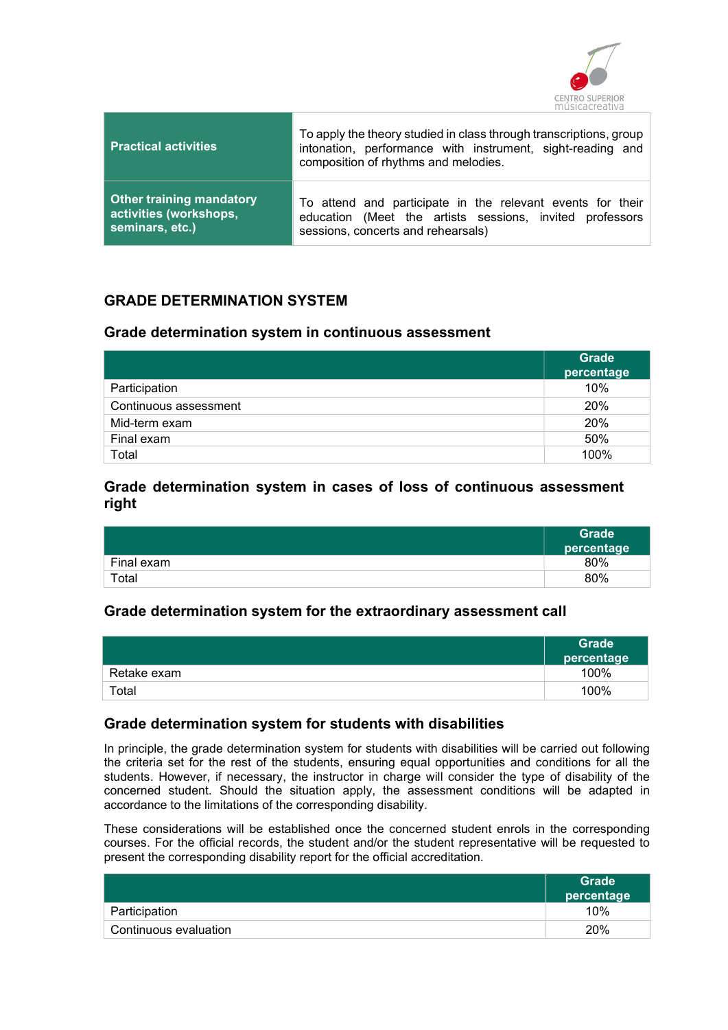

| <b>Practical activities</b>     | To apply the theory studied in class through transcriptions, group<br>intonation, performance with instrument, sight-reading and<br>composition of rhythms and melodies. |
|---------------------------------|--------------------------------------------------------------------------------------------------------------------------------------------------------------------------|
| <b>Other training mandatory</b> | To attend and participate in the relevant events for their                                                                                                               |
| activities (workshops,          | education (Meet the artists sessions, invited professors                                                                                                                 |
| seminars, etc.)                 | sessions, concerts and rehearsals)                                                                                                                                       |

#### GRADE DETERMINATION SYSTEM

#### Grade determination system in continuous assessment

|                       | <b>Grade</b><br>percentage |
|-----------------------|----------------------------|
| Participation         | 10%                        |
| Continuous assessment | 20%                        |
| Mid-term exam         | 20%                        |
| Final exam            | 50%                        |
| Total                 | 100%                       |

#### Grade determination system in cases of loss of continuous assessment right

|            | Grade<br>percentage |
|------------|---------------------|
| Final exam | 80%                 |
| Total      | 80%                 |

#### Grade determination system for the extraordinary assessment call

|                        | Grade <sup>1</sup><br>percentage |
|------------------------|----------------------------------|
| Retake exam            | 100%                             |
| $\tau$ <sub>otal</sub> | 100%                             |

#### Grade determination system for students with disabilities

In principle, the grade determination system for students with disabilities will be carried out following the criteria set for the rest of the students, ensuring equal opportunities and conditions for all the students. However, if necessary, the instructor in charge will consider the type of disability of the concerned student. Should the situation apply, the assessment conditions will be adapted in accordance to the limitations of the corresponding disability.

These considerations will be established once the concerned student enrols in the corresponding courses. For the official records, the student and/or the student representative will be requested to present the corresponding disability report for the official accreditation.

|                       | <b>Grade</b><br>percentage |
|-----------------------|----------------------------|
| Participation         | 10%                        |
| Continuous evaluation | 20%                        |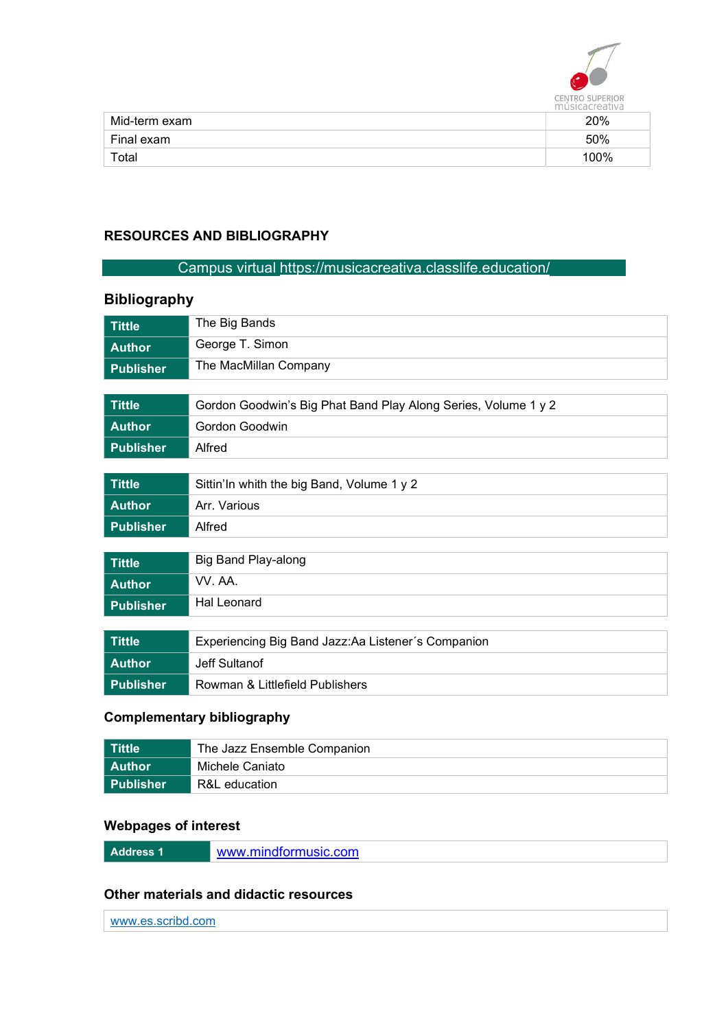

|               | 111 USICACI CALIVA |
|---------------|--------------------|
| Mid-term exam | 20%                |
| Final exam    | 50%                |
| Total         | 100%               |

#### RESOURCES AND BIBLIOGRAPHY

#### Campus virtual https://musicacreativa.classlife.education/

# Tittle The Big Bands Author George T. Simon Publisher The MacMillan Company Tittle Gordon Goodwin's Big Phat Band Play Along Series, Volume 1 y 2 Author Gordon Goodwin Publisher Alfred Tittle Sittin'In whith the big Band, Volume 1 y 2 Author **Arr. Various** Publisher Alfred Tittle **Big Band Play-along** Author VV. AA. Publisher Hal Leonard Tittle Experiencing Big Band Jazz:Aa Listener´s Companion Author Jeff Sultanof

## Publisher Rowman & Littlefield Publishers

#### Complementary bibliography

| l Tittle         | The Jazz Ensemble Companion |
|------------------|-----------------------------|
| l Author         | Michele Caniato             |
| <b>Publisher</b> | R&L education               |

#### Webpages of interest

| www.mindformusic.com |
|----------------------|
|                      |
|                      |

#### Other materials and didactic resources

| -----<br>. |  |  |
|------------|--|--|
|            |  |  |
|            |  |  |

#### Bibliography